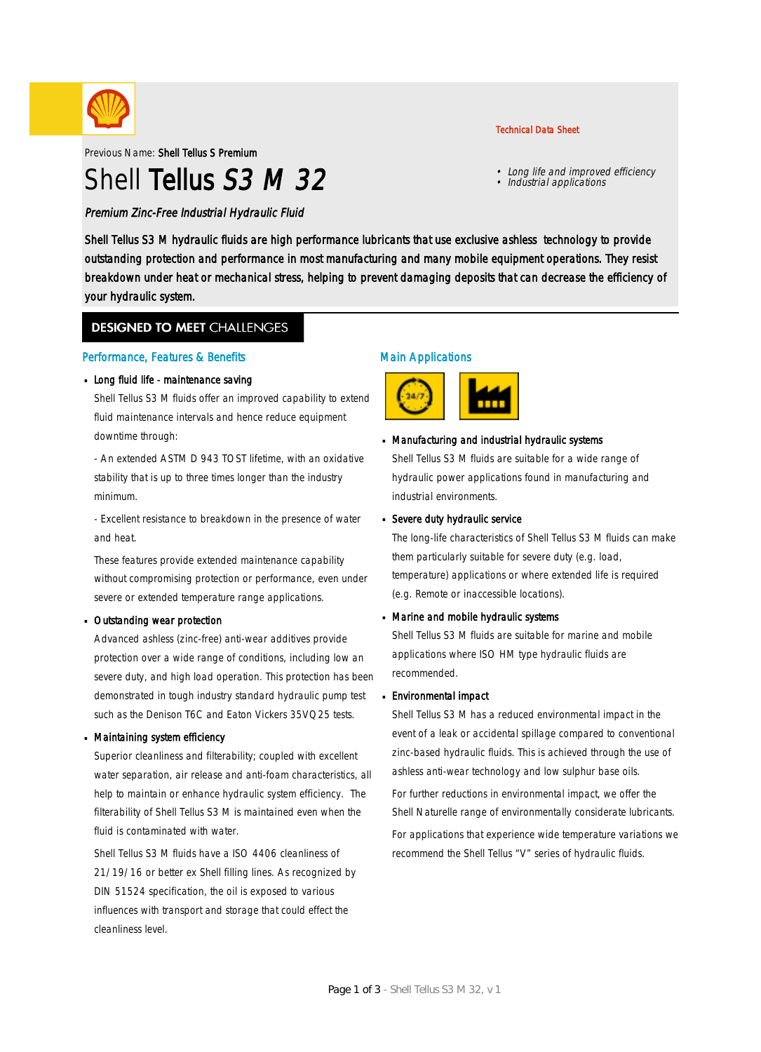

Previous Name: Shell Tellus S Premium

# Shell Tellus S3 M 32

Technical Data Sheet

- Long life and improved efficiency
- Industrial applications

Premium Zinc-Free Industrial Hydraulic Fluid

Shell Tellus S3 M hydraulic fluids are high performance lubricants that use exclusive ashless technology to provide outstanding protection and performance in most manufacturing and many mobile equipment operations. They resist breakdown under heat or mechanical stress, helping to prevent damaging deposits that can decrease the efficiency of your hydraulic system.

### **DESIGNED TO MEET CHALLENGES**

#### Performance, Features & Benefits

#### **Long fluid life - maintenance saving**

Shell Tellus S3 M fluids offer an improved capability to extend fluid maintenance intervals and hence reduce equipment downtime through:

- An extended ASTM D 943 TOST lifetime, with an oxidative stability that is up to three times longer than the industry minimum.

- Excellent resistance to breakdown in the presence of water and heat.

These features provide extended maintenance capability without compromising protection or performance, even under severe or extended temperature range applications.

#### **Dutstanding wear protection**

Advanced ashless (zinc-free) anti-wear additives provide protection over a wide range of conditions, including low an severe duty, and high load operation. This protection has been demonstrated in tough industry standard hydraulic pump test such as the Denison T6C and Eaton Vickers 35VQ25 tests.

#### Maintaining system efficiency ·

Superior cleanliness and filterability; coupled with excellent water separation, air release and anti-foam characteristics, all help to maintain or enhance hydraulic system efficiency. The filterability of Shell Tellus S3 M is maintained even when the fluid is contaminated with water.

Shell Tellus S3 M fluids have a ISO 4406 cleanliness of 21/19/16 or better ex Shell filling lines. As recognized by DIN 51524 specification, the oil is exposed to various influences with transport and storage that could effect the cleanliness level.

### Main Applications



# Manufacturing and industrial hydraulic systems ·

Shell Tellus S3 M fluids are suitable for a wide range of hydraulic power applications found in manufacturing and industrial environments.

# **B** Severe duty hydraulic service

The long-life characteristics of Shell Tellus S3 M fluids can make them particularly suitable for severe duty (e.g. load, temperature) applications or where extended life is required (e.g. Remote or inaccessible locations).

# Marine and mobile hydraulic systems ·

Shell Tellus S3 M fluids are suitable for marine and mobile applications where ISO HM type hydraulic fluids are recommended.

#### Environmental impact ·

Shell Tellus S3 M has a reduced environmental impact in the event of a leak or accidental spillage compared to conventional zinc-based hydraulic fluids. This is achieved through the use of ashless anti-wear technology and low sulphur base oils.

For further reductions in environmental impact, we offer the Shell Naturelle range of environmentally considerate lubricants.

For applications that experience wide temperature variations we recommend the Shell Tellus "V" series of hydraulic fluids.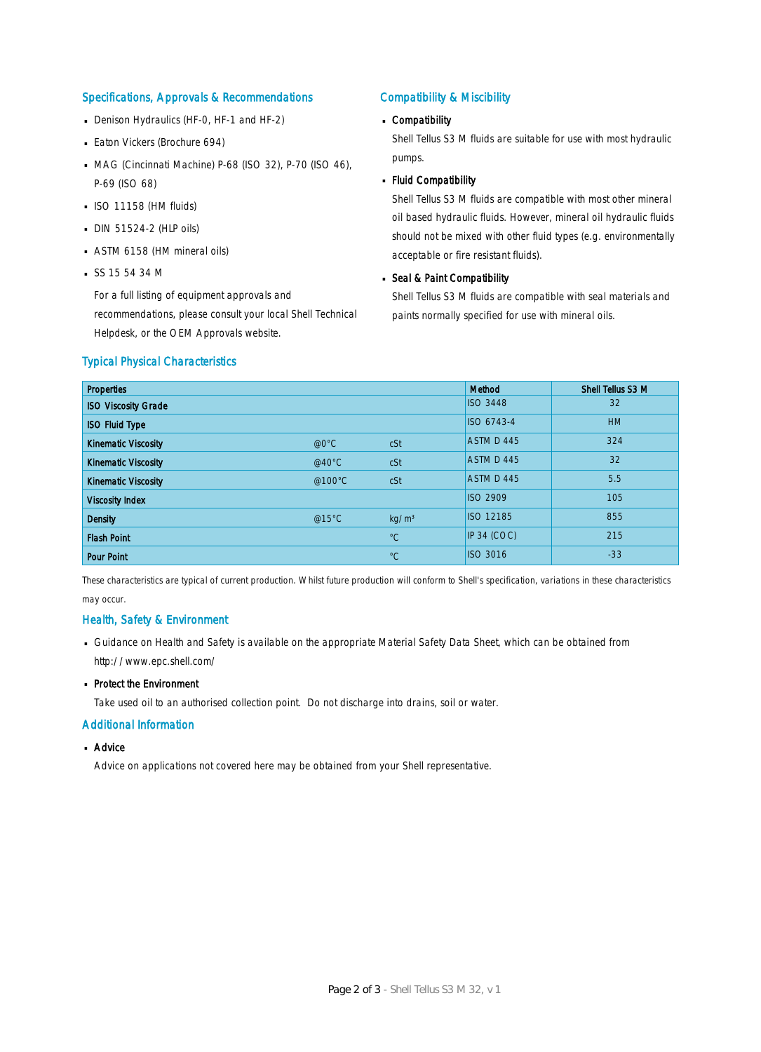#### Specifications, Approvals & Recommendations

- Denison Hydraulics (HF-0, HF-1 and HF-2)
- **Eaton Vickers (Brochure 694)**
- MAG (Cincinnati Machine) P-68 (ISO 32), P-70 (ISO 46), P-69 (ISO 68)
- $\blacksquare$  ISO 11158 (HM fluids)
- DIN 51524-2 (HLP oils) ·
- ASTM 6158 (HM mineral oils) ·
- $S$ SS 15 54 34 M

For a full listing of equipment approvals and recommendations, please consult your local Shell Technical Helpdesk, or the OEM Approvals website.

### Compatibility & Miscibility

# Compatibility ·

Shell Tellus S3 M fluids are suitable for use with most hydraulic pumps.

Fluid Compatibility ·

Shell Tellus S3 M fluids are compatible with most other mineral oil based hydraulic fluids. However, mineral oil hydraulic fluids should not be mixed with other fluid types (e.g. environmentally acceptable or fire resistant fluids).

# Seal & Paint Compatibility

Shell Tellus S3 M fluids are compatible with seal materials and paints normally specified for use with mineral oils.

#### Typical Physical Characteristics

| <b>Properties</b>          |                  |                   | Method           | Shell Tellus S3 M |
|----------------------------|------------------|-------------------|------------------|-------------------|
| <b>ISO Viscosity Grade</b> |                  |                   | <b>ISO 3448</b>  | 32                |
| <b>ISO Fluid Type</b>      |                  |                   | ISO 6743-4       | <b>HM</b>         |
| <b>Kinematic Viscosity</b> | @0°C             | cSt               | ASTM D 445       | 324               |
| <b>Kinematic Viscosity</b> | @40 $^{\circ}$ C | cSt               | ASTM D 445       | 32                |
| <b>Kinematic Viscosity</b> | @100°C           | cSt               | ASTM D 445       | 5.5               |
| <b>Viscosity Index</b>     |                  |                   | <b>ISO 2909</b>  | 105               |
| <b>Density</b>             | @15 $°C$         | kg/m <sup>3</sup> | <b>ISO 12185</b> | 855               |
| <b>Flash Point</b>         |                  | $^{\circ}C$       | IP 34 (COC)      | 215               |
| <b>Pour Point</b>          |                  | $^{\circ}C$       | <b>ISO 3016</b>  | $-33$             |

These characteristics are typical of current production. Whilst future production will conform to Shell's specification, variations in these characteristics may occur.

#### Health, Safety & Environment

■ Guidance on Health and Safety is available on the appropriate Material Safety Data Sheet, which can be obtained from http://www.epc.shell.com/

# • Protect the Environment

Take used oil to an authorised collection point. Do not discharge into drains, soil or water.

#### Additional Information

# ■ Advice

Advice on applications not covered here may be obtained from your Shell representative.